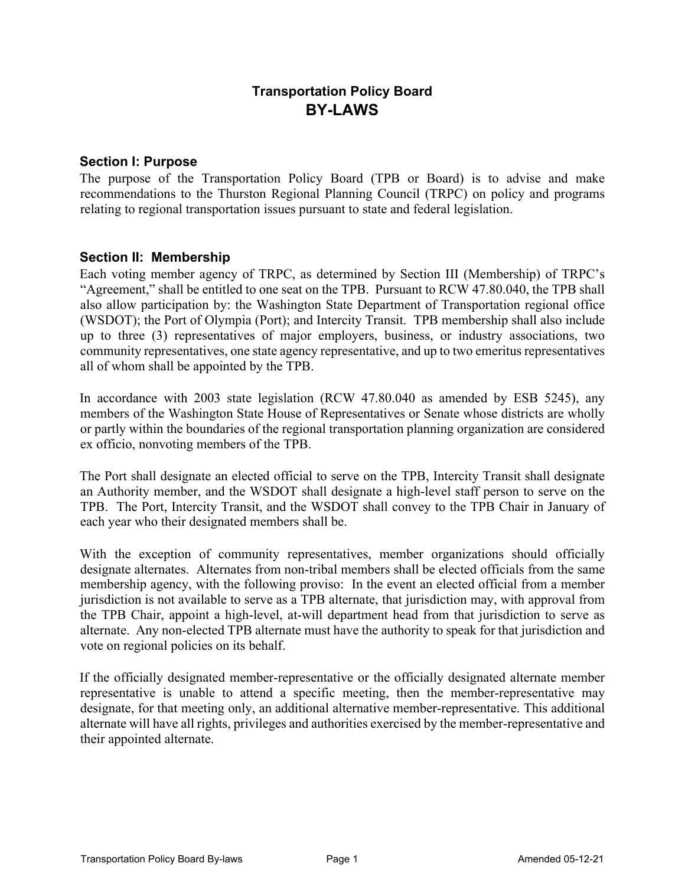# **Transportation Policy Board BY-LAWS**

#### **Section I: Purpose**

The purpose of the Transportation Policy Board (TPB or Board) is to advise and make recommendations to the Thurston Regional Planning Council (TRPC) on policy and programs relating to regional transportation issues pursuant to state and federal legislation.

#### **Section II: Membership**

Each voting member agency of TRPC, as determined by Section III (Membership) of TRPC's "Agreement," shall be entitled to one seat on the TPB. Pursuant to RCW 47.80.040, the TPB shall also allow participation by: the Washington State Department of Transportation regional office (WSDOT); the Port of Olympia (Port); and Intercity Transit. TPB membership shall also include up to three (3) representatives of major employers, business, or industry associations, two community representatives, one state agency representative, and up to two emeritus representatives all of whom shall be appointed by the TPB.

In accordance with 2003 state legislation (RCW 47.80.040 as amended by ESB 5245), any members of the Washington State House of Representatives or Senate whose districts are wholly or partly within the boundaries of the regional transportation planning organization are considered ex officio, nonvoting members of the TPB.

The Port shall designate an elected official to serve on the TPB, Intercity Transit shall designate an Authority member, and the WSDOT shall designate a high-level staff person to serve on the TPB. The Port, Intercity Transit, and the WSDOT shall convey to the TPB Chair in January of each year who their designated members shall be.

With the exception of community representatives, member organizations should officially designate alternates. Alternates from non-tribal members shall be elected officials from the same membership agency, with the following proviso: In the event an elected official from a member jurisdiction is not available to serve as a TPB alternate, that jurisdiction may, with approval from the TPB Chair, appoint a high-level, at-will department head from that jurisdiction to serve as alternate. Any non-elected TPB alternate must have the authority to speak for that jurisdiction and vote on regional policies on its behalf.

If the officially designated member-representative or the officially designated alternate member representative is unable to attend a specific meeting, then the member-representative may designate, for that meeting only, an additional alternative member-representative. This additional alternate will have all rights, privileges and authorities exercised by the member-representative and their appointed alternate.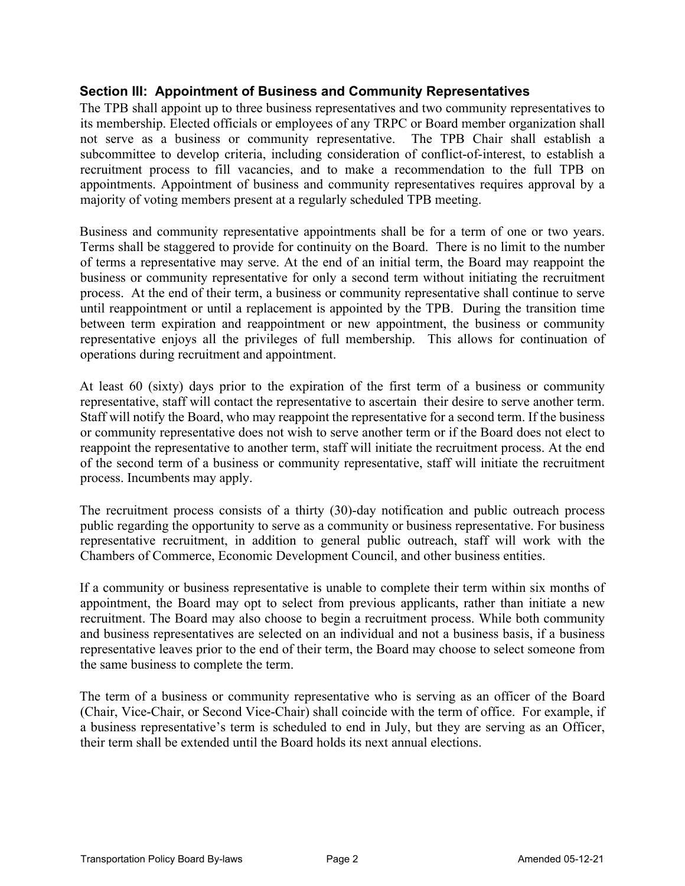# **Section III: Appointment of Business and Community Representatives**

The TPB shall appoint up to three business representatives and two community representatives to its membership. Elected officials or employees of any TRPC or Board member organization shall not serve as a business or community representative. The TPB Chair shall establish a subcommittee to develop criteria, including consideration of conflict-of-interest, to establish a recruitment process to fill vacancies, and to make a recommendation to the full TPB on appointments. Appointment of business and community representatives requires approval by a majority of voting members present at a regularly scheduled TPB meeting.

Business and community representative appointments shall be for a term of one or two years. Terms shall be staggered to provide for continuity on the Board. There is no limit to the number of terms a representative may serve. At the end of an initial term, the Board may reappoint the business or community representative for only a second term without initiating the recruitment process. At the end of their term, a business or community representative shall continue to serve until reappointment or until a replacement is appointed by the TPB. During the transition time between term expiration and reappointment or new appointment, the business or community representative enjoys all the privileges of full membership. This allows for continuation of operations during recruitment and appointment.

At least 60 (sixty) days prior to the expiration of the first term of a business or community representative, staff will contact the representative to ascertain their desire to serve another term. Staff will notify the Board, who may reappoint the representative for a second term. If the business or community representative does not wish to serve another term or if the Board does not elect to reappoint the representative to another term, staff will initiate the recruitment process. At the end of the second term of a business or community representative, staff will initiate the recruitment process. Incumbents may apply.

The recruitment process consists of a thirty (30)-day notification and public outreach process public regarding the opportunity to serve as a community or business representative. For business representative recruitment, in addition to general public outreach, staff will work with the Chambers of Commerce, Economic Development Council, and other business entities.

If a community or business representative is unable to complete their term within six months of appointment, the Board may opt to select from previous applicants, rather than initiate a new recruitment. The Board may also choose to begin a recruitment process. While both community and business representatives are selected on an individual and not a business basis, if a business representative leaves prior to the end of their term, the Board may choose to select someone from the same business to complete the term.

The term of a business or community representative who is serving as an officer of the Board (Chair, Vice-Chair, or Second Vice-Chair) shall coincide with the term of office. For example, if a business representative's term is scheduled to end in July, but they are serving as an Officer, their term shall be extended until the Board holds its next annual elections.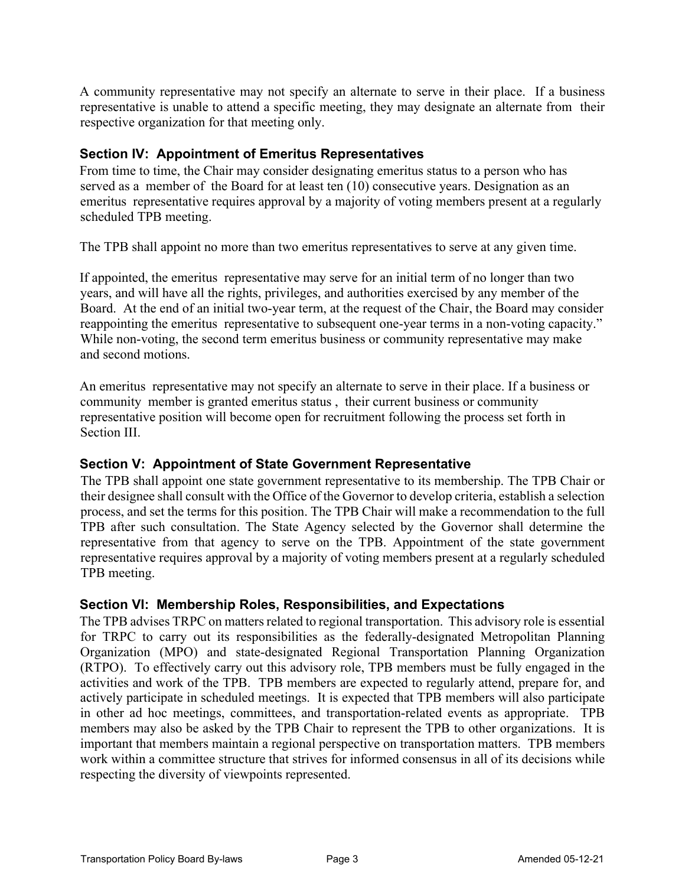A community representative may not specify an alternate to serve in their place. If a business representative is unable to attend a specific meeting, they may designate an alternate from their respective organization for that meeting only.

# **Section IV: Appointment of Emeritus Representatives**

From time to time, the Chair may consider designating emeritus status to a person who has served as a member of the Board for at least ten (10) consecutive years. Designation as an emeritus representative requires approval by a majority of voting members present at a regularly scheduled TPB meeting.

The TPB shall appoint no more than two emeritus representatives to serve at any given time.

If appointed, the emeritus representative may serve for an initial term of no longer than two years, and will have all the rights, privileges, and authorities exercised by any member of the Board. At the end of an initial two-year term, at the request of the Chair, the Board may consider reappointing the emeritus representative to subsequent one-year terms in a non-voting capacity." While non-voting, the second term emeritus business or community representative may make and second motions.

An emeritus representative may not specify an alternate to serve in their place. If a business or community member is granted emeritus status , their current business or community representative position will become open for recruitment following the process set forth in Section III.

# **Section V: Appointment of State Government Representative**

The TPB shall appoint one state government representative to its membership. The TPB Chair or their designee shall consult with the Office of the Governor to develop criteria, establish a selection process, and set the terms for this position. The TPB Chair will make a recommendation to the full TPB after such consultation. The State Agency selected by the Governor shall determine the representative from that agency to serve on the TPB. Appointment of the state government representative requires approval by a majority of voting members present at a regularly scheduled TPB meeting.

## **Section VI: Membership Roles, Responsibilities, and Expectations**

The TPB advises TRPC on matters related to regional transportation. This advisory role is essential for TRPC to carry out its responsibilities as the federally-designated Metropolitan Planning Organization (MPO) and state-designated Regional Transportation Planning Organization (RTPO). To effectively carry out this advisory role, TPB members must be fully engaged in the activities and work of the TPB. TPB members are expected to regularly attend, prepare for, and actively participate in scheduled meetings. It is expected that TPB members will also participate in other ad hoc meetings, committees, and transportation-related events as appropriate. TPB members may also be asked by the TPB Chair to represent the TPB to other organizations. It is important that members maintain a regional perspective on transportation matters. TPB members work within a committee structure that strives for informed consensus in all of its decisions while respecting the diversity of viewpoints represented.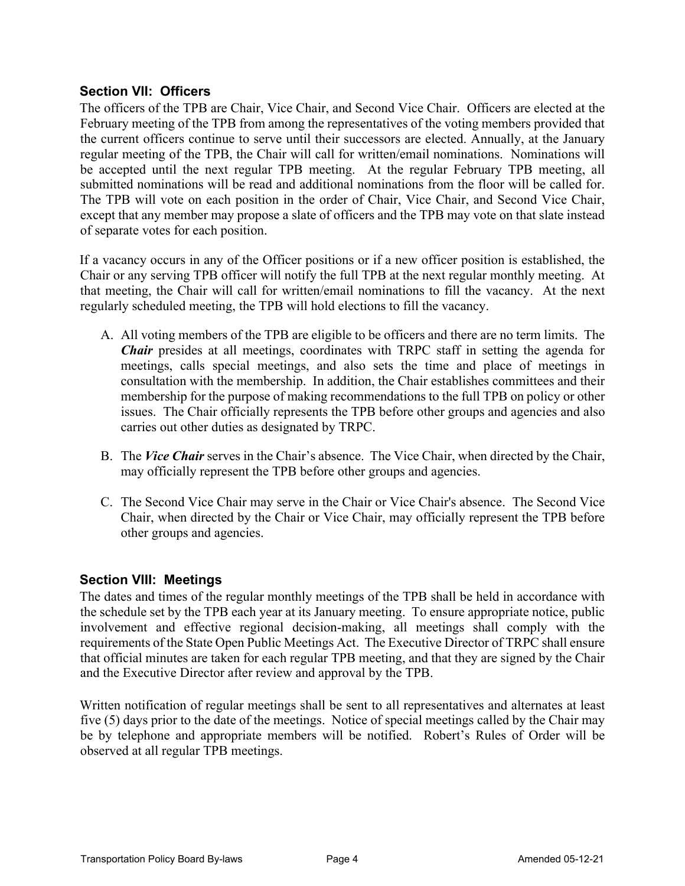# **Section VII: Officers**

The officers of the TPB are Chair, Vice Chair, and Second Vice Chair. Officers are elected at the February meeting of the TPB from among the representatives of the voting members provided that the current officers continue to serve until their successors are elected. Annually, at the January regular meeting of the TPB, the Chair will call for written/email nominations. Nominations will be accepted until the next regular TPB meeting. At the regular February TPB meeting, all submitted nominations will be read and additional nominations from the floor will be called for. The TPB will vote on each position in the order of Chair, Vice Chair, and Second Vice Chair, except that any member may propose a slate of officers and the TPB may vote on that slate instead of separate votes for each position.

If a vacancy occurs in any of the Officer positions or if a new officer position is established, the Chair or any serving TPB officer will notify the full TPB at the next regular monthly meeting. At that meeting, the Chair will call for written/email nominations to fill the vacancy. At the next regularly scheduled meeting, the TPB will hold elections to fill the vacancy.

- A. All voting members of the TPB are eligible to be officers and there are no term limits. The *Chair* presides at all meetings, coordinates with TRPC staff in setting the agenda for meetings, calls special meetings, and also sets the time and place of meetings in consultation with the membership. In addition, the Chair establishes committees and their membership for the purpose of making recommendations to the full TPB on policy or other issues. The Chair officially represents the TPB before other groups and agencies and also carries out other duties as designated by TRPC.
- B. The *Vice Chair* serves in the Chair's absence. The Vice Chair, when directed by the Chair, may officially represent the TPB before other groups and agencies.
- C. The Second Vice Chair may serve in the Chair or Vice Chair's absence. The Second Vice Chair, when directed by the Chair or Vice Chair, may officially represent the TPB before other groups and agencies.

## **Section VIII: Meetings**

The dates and times of the regular monthly meetings of the TPB shall be held in accordance with the schedule set by the TPB each year at its January meeting. To ensure appropriate notice, public involvement and effective regional decision-making, all meetings shall comply with the requirements of the State Open Public Meetings Act. The Executive Director of TRPC shall ensure that official minutes are taken for each regular TPB meeting, and that they are signed by the Chair and the Executive Director after review and approval by the TPB.

Written notification of regular meetings shall be sent to all representatives and alternates at least five (5) days prior to the date of the meetings. Notice of special meetings called by the Chair may be by telephone and appropriate members will be notified. Robert's Rules of Order will be observed at all regular TPB meetings.